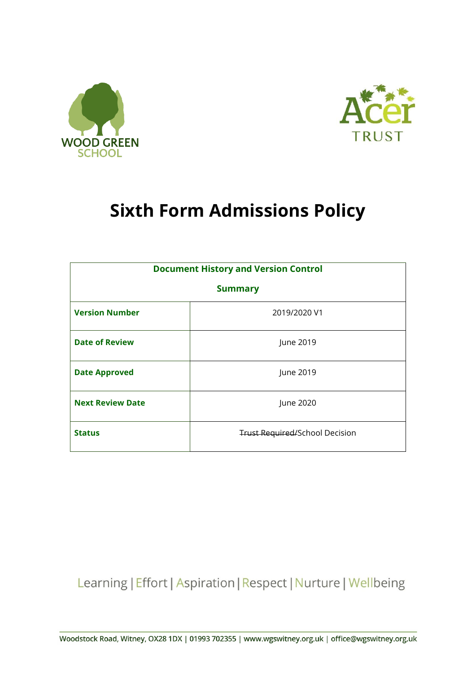



# **Sixth Form Admissions Policy**

| <b>Document History and Version Control</b> |                                       |  |
|---------------------------------------------|---------------------------------------|--|
|                                             |                                       |  |
| <b>Summary</b>                              |                                       |  |
|                                             |                                       |  |
| <b>Version Number</b>                       | 2019/2020 V1                          |  |
|                                             |                                       |  |
|                                             |                                       |  |
| <b>Date of Review</b>                       | June 2019                             |  |
|                                             |                                       |  |
|                                             | June 2019                             |  |
| <b>Date Approved</b>                        |                                       |  |
|                                             |                                       |  |
| <b>Next Review Date</b>                     | June 2020                             |  |
|                                             |                                       |  |
|                                             |                                       |  |
| <b>Status</b>                               | <b>Trust Required/School Decision</b> |  |
|                                             |                                       |  |
|                                             |                                       |  |

Learning | Effort | Aspiration | Respect | Nurture | Wellbeing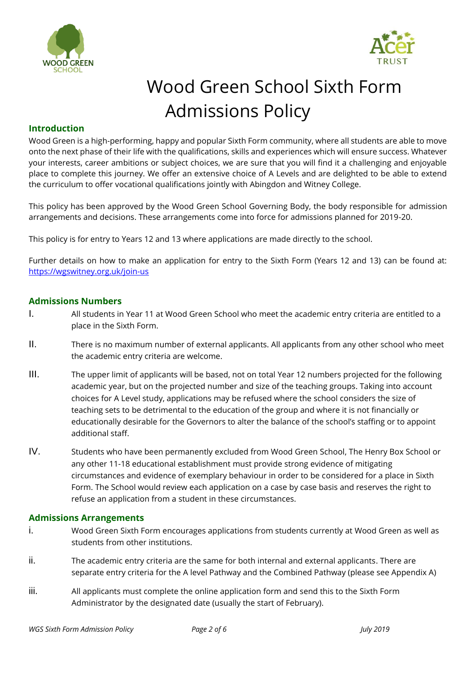



# Wood Green School Sixth Form Admissions Policy

### **Introduction**

Wood Green is a high-performing, happy and popular Sixth Form community, where all students are able to move onto the next phase of their life with the qualifications, skills and experiences which will ensure success. Whatever your interests, career ambitions or subject choices, we are sure that you will find it a challenging and enjoyable place to complete this journey. We offer an extensive choice of A Levels and are delighted to be able to extend the curriculum to offer vocational qualifications jointly with Abingdon and Witney College.

This policy has been approved by the Wood Green School Governing Body, the body responsible for admission arrangements and decisions. These arrangements come into force for admissions planned for 2019-20.

This policy is for entry to Years 12 and 13 where applications are made directly to the school.

Further details on how to make an application for entry to the Sixth Form (Years 12 and 13) can be found at: https://wgswitney.org.uk/join-us

#### **Admissions Numbers**

- I. All students in Year 11 at Wood Green School who meet the academic entry criteria are entitled to a place in the Sixth Form.
- II. There is no maximum number of external applicants. All applicants from any other school who meet the academic entry criteria are welcome.
- III. The upper limit of applicants will be based, not on total Year 12 numbers projected for the following academic year, but on the projected number and size of the teaching groups. Taking into account choices for A Level study, applications may be refused where the school considers the size of teaching sets to be detrimental to the education of the group and where it is not financially or educationally desirable for the Governors to alter the balance of the school's staffing or to appoint additional staff.
- IV. Students who have been permanently excluded from Wood Green School, The Henry Box School or any other 11-18 educational establishment must provide strong evidence of mitigating circumstances and evidence of exemplary behaviour in order to be considered for a place in Sixth Form. The School would review each application on a case by case basis and reserves the right to refuse an application from a student in these circumstances.

#### **Admissions Arrangements**

- i. Wood Green Sixth Form encourages applications from students currently at Wood Green as well as students from other institutions.
- ii. The academic entry criteria are the same for both internal and external applicants. There are separate entry criteria for the A level Pathway and the Combined Pathway (please see Appendix A)
- iii. All applicants must complete the online application form and send this to the Sixth Form Administrator by the designated date (usually the start of February).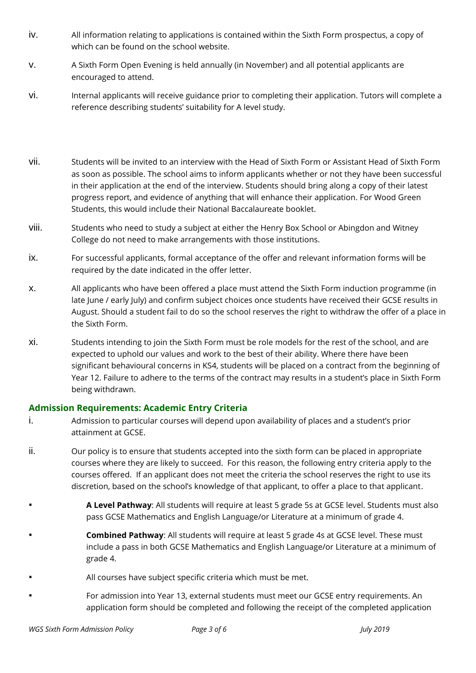- iv. All information relating to applications is contained within the Sixth Form prospectus, a copy of which can be found on the school website.
- v. A Sixth Form Open Evening is held annually (in November) and all potential applicants are encouraged to attend.
- vi. Internal applicants will receive guidance prior to completing their application. Tutors will complete a reference describing students' suitability for A level study.
- vii. Students will be invited to an interview with the Head of Sixth Form or Assistant Head of Sixth Form as soon as possible. The school aims to inform applicants whether or not they have been successful in their application at the end of the interview. Students should bring along a copy of their latest progress report, and evidence of anything that will enhance their application. For Wood Green Students, this would include their National Baccalaureate booklet.
- viii. Students who need to study a subject at either the Henry Box School or Abingdon and Witney College do not need to make arrangements with those institutions.
- ix. For successful applicants, formal acceptance of the offer and relevant information forms will be required by the date indicated in the offer letter.
- x. All applicants who have been offered a place must attend the Sixth Form induction programme (in late June / early July) and confirm subject choices once students have received their GCSE results in August. Should a student fail to do so the school reserves the right to withdraw the offer of a place in the Sixth Form.
- xi. Students intending to join the Sixth Form must be role models for the rest of the school, and are expected to uphold our values and work to the best of their ability. Where there have been significant behavioural concerns in KS4, students will be placed on a contract from the beginning of Year 12. Failure to adhere to the terms of the contract may results in a student's place in Sixth Form being withdrawn.

## **Admission Requirements: Academic Entry Criteria**

- i. Admission to particular courses will depend upon availability of places and a student's prior attainment at GCSE.
- ii. Our policy is to ensure that students accepted into the sixth form can be placed in appropriate courses where they are likely to succeed. For this reason, the following entry criteria apply to the courses offered. If an applicant does not meet the criteria the school reserves the right to use its discretion, based on the school's knowledge of that applicant, to offer a place to that applicant.
- A Level Pathway: All students will require at least 5 grade 5s at GCSE level. Students must also pass GCSE Mathematics and English Language/or Literature at a minimum of grade 4.
- **Combined Pathway:** All students will require at least 5 grade 4s at GCSE level. These must include a pass in both GCSE Mathematics and English Language/or Literature at a minimum of grade 4.
- All courses have subject specific criteria which must be met.
- For admission into Year 13, external students must meet our GCSE entry requirements. An application form should be completed and following the receipt of the completed application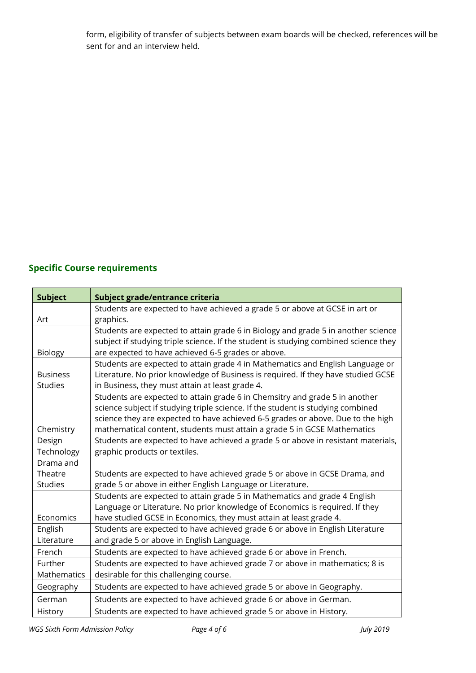form, eligibility of transfer of subjects between exam boards will be checked, references will be sent for and an interview held.

# **Specific Course requirements**

| <b>Subject</b>     | Subject grade/entrance criteria                                                      |
|--------------------|--------------------------------------------------------------------------------------|
|                    | Students are expected to have achieved a grade 5 or above at GCSE in art or          |
| Art                | graphics.                                                                            |
|                    | Students are expected to attain grade 6 in Biology and grade 5 in another science    |
|                    | subject if studying triple science. If the student is studying combined science they |
| Biology            | are expected to have achieved 6-5 grades or above.                                   |
|                    | Students are expected to attain grade 4 in Mathematics and English Language or       |
| <b>Business</b>    | Literature. No prior knowledge of Business is required. If they have studied GCSE    |
| <b>Studies</b>     | in Business, they must attain at least grade 4.                                      |
|                    | Students are expected to attain grade 6 in Chemsitry and grade 5 in another          |
|                    | science subject if studying triple science. If the student is studying combined      |
|                    | science they are expected to have achieved 6-5 grades or above. Due to the high      |
| Chemistry          | mathematical content, students must attain a grade 5 in GCSE Mathematics             |
| Design             | Students are expected to have achieved a grade 5 or above in resistant materials,    |
| Technology         | graphic products or textiles.                                                        |
| Drama and          |                                                                                      |
| Theatre            | Students are expected to have achieved grade 5 or above in GCSE Drama, and           |
| <b>Studies</b>     | grade 5 or above in either English Language or Literature.                           |
|                    | Students are expected to attain grade 5 in Mathematics and grade 4 English           |
|                    | Language or Literature. No prior knowledge of Economics is required. If they         |
| Economics          | have studied GCSE in Economics, they must attain at least grade 4.                   |
| English            | Students are expected to have achieved grade 6 or above in English Literature        |
| Literature         | and grade 5 or above in English Language.                                            |
| French             | Students are expected to have achieved grade 6 or above in French.                   |
| Further            | Students are expected to have achieved grade 7 or above in mathematics; 8 is         |
| <b>Mathematics</b> | desirable for this challenging course.                                               |
| Geography          | Students are expected to have achieved grade 5 or above in Geography.                |
| German             | Students are expected to have achieved grade 6 or above in German.                   |
| History            | Students are expected to have achieved grade 5 or above in History.                  |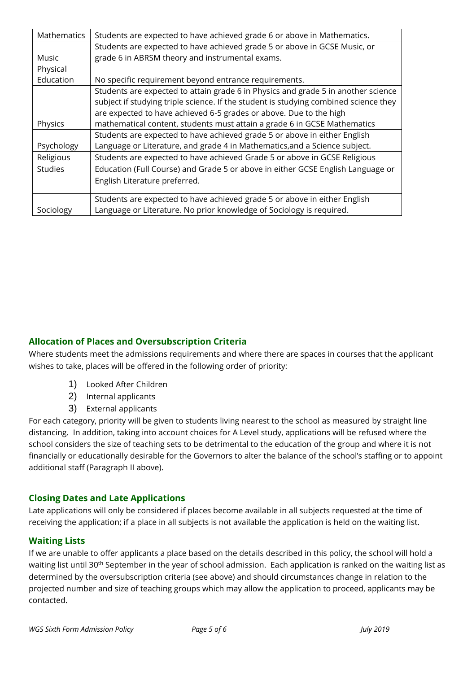| Mathematics    | Students are expected to have achieved grade 6 or above in Mathematics.              |
|----------------|--------------------------------------------------------------------------------------|
|                | Students are expected to have achieved grade 5 or above in GCSE Music, or            |
| Music          | grade 6 in ABRSM theory and instrumental exams.                                      |
| Physical       |                                                                                      |
| Education      | No specific requirement beyond entrance requirements.                                |
|                | Students are expected to attain grade 6 in Physics and grade 5 in another science    |
|                | subject if studying triple science. If the student is studying combined science they |
|                | are expected to have achieved 6-5 grades or above. Due to the high                   |
| Physics        | mathematical content, students must attain a grade 6 in GCSE Mathematics             |
|                | Students are expected to have achieved grade 5 or above in either English            |
| Psychology     | Language or Literature, and grade 4 in Mathematics, and a Science subject.           |
| Religious      | Students are expected to have achieved Grade 5 or above in GCSE Religious            |
| <b>Studies</b> | Education (Full Course) and Grade 5 or above in either GCSE English Language or      |
|                | English Literature preferred.                                                        |
|                | Students are expected to have achieved grade 5 or above in either English            |
| Sociology      | Language or Literature. No prior knowledge of Sociology is required.                 |

# **Allocation of Places and Oversubscription Criteria**

Where students meet the admissions requirements and where there are spaces in courses that the applicant wishes to take, places will be offered in the following order of priority:

- 1) Looked After Children
- 2) Internal applicants
- 3) External applicants

For each category, priority will be given to students living nearest to the school as measured by straight line distancing. In addition, taking into account choices for A Level study, applications will be refused where the school considers the size of teaching sets to be detrimental to the education of the group and where it is not financially or educationally desirable for the Governors to alter the balance of the school's staffing or to appoint additional staff (Paragraph II above).

## **Closing Dates and Late Applications**

Late applications will only be considered if places become available in all subjects requested at the time of receiving the application; if a place in all subjects is not available the application is held on the waiting list.

## **Waiting Lists**

If we are unable to offer applicants a place based on the details described in this policy, the school will hold a waiting list until 30<sup>th</sup> September in the year of school admission. Each application is ranked on the waiting list as determined by the oversubscription criteria (see above) and should circumstances change in relation to the projected number and size of teaching groups which may allow the application to proceed, applicants may be contacted.